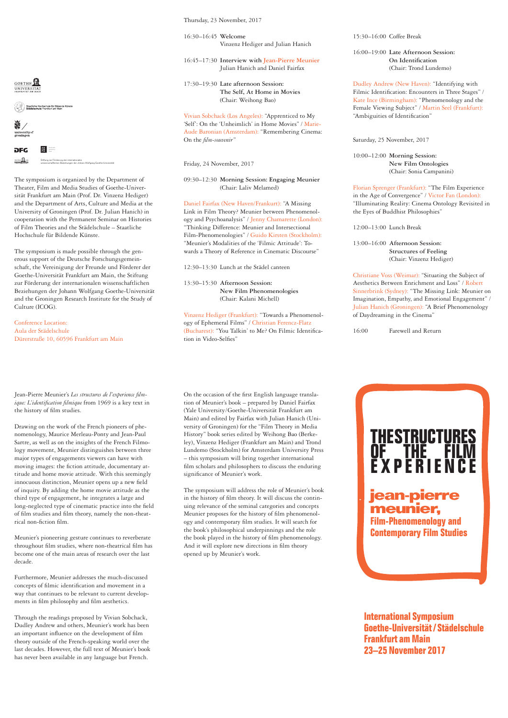Thursday, 23 November, 2017

16:30–16:45 **Welcome** Vinzenz Hediger and Julian Hanich

16:45–17:30 **Interview with Jean-Pierre Meunier** Julian Hanich and Daniel Fairfax

17:30–19:30 **Late afternoon Session: The Self, At Home in Movies** (Chair: Weihong Bao)

Vivian Sobchack (Los Angeles): "Apprenticed to My 'Self': On the 'Unheimlich' in Home Movies" / Marie-Aude Baronian (Amsterdam): "Remembering Cinema: On the *flm-souvenir*"

Friday, 24 November, 2017

## 09:30–12:30 **Morning Session: Engaging Meunier** (Chair: Laliv Melamed)

Daniel Fairfax (New Haven/Frankurt): "A Missing Link in Film Theory? Meunier between Phenomenology and Psychoanalysis" / Jenny Chamarette (London): "Thinking Difference: Meunier and Intersectional Film-Phenomenologies" / Guido Kirsten (Stockholm): "Meunier's Modalities of the 'Filmic Attitude': Towards a Theory of Reference in Cinematic Discourse"

12:30–13:30 Lunch at the Städel canteen

13:30–15:30 **Afternoon Session: New Film Phenomenologies** (Chair: Kalani Michell)

Vinzenz Hediger (Frankfurt): "Towards a Phenomenology of Ephemeral Films" / Christian Ferencz-Flatz (Bucharest): "You Talkin' to Me? On Filmic Identifcation in Video-Selfes"

On the occasion of the frst English language translation of Meunier's book – prepared by Daniel Fairfax (Yale University/Goethe-Universität Frankfurt am Main) and edited by Fairfax with Julian Hanich (University of Groningen) for the "Film Theory in Media History" book series edited by Weihong Bao (Berkeley), Vinzenz Hediger (Frankfurt am Main) and Trond Lundemo (Stockholm) for Amsterdam University Press – this symposium will bring together international flm scholars and philosophers to discuss the enduring signifcance of Meunier's work.

The symposium will address the role of Meunier's book in the history of flm theory. It will discuss the continuing relevance of the seminal categories and concepts Meunier proposes for the history of flm phenomenology and contemporary flm studies. It will search for the book's philosophical underpinnings and the role the book played in the history of flm phenomenology. And it will explore new directions in flm theory opened up by Meunier's work.

15:30–16:00 Coffee Break

16:00–19:00 **Late Afternoon Session: On Identifcation** (Chair: Trond Lundemo)

Dudley Andrew (New Haven): "Identifying with Filmic Identifcation: Encounters in Three Stages" / Kate Ince (Birmingham): "Phenomenology and the Female Viewing Subject" / Martin Seel (Frankfurt): "Ambiguities of Identifcation"

Saturday, 25 November, 2017

10:00–12:00 **Morning Session: New Film Ontologies** (Chair: Sonia Campanini)

Florian Sprenger (Frankfurt): "The Film Experience in the Age of Convergence" / Victor Fan (London) "Illuminating Reality: Cinema Ontology Revisited in the Eyes of Buddhist Philosophies"

12:00–13:00 Lunch Break

13:00–16:00 **Afternoon Session: Structures of Feeling** (Chair: Vinzenz Hediger)

Christiane Voss (Weimar): "Situating the Subject of Aesthetics Between Enrichment and Loss" / Robert Sinnerbrink (Sydney): "The Missing Link: Meunier on Imagination, Empathy, and Emotional Engagement" / Julian Hanich (Groningen): "A Brief Phenomenology of Daydreaming in the Cinema"

> **THE STRUCTURES OF THE FILM**

16:00 Farewell and Return

Drawing on the work of the French pioneers of phe-Sartre, as well as on the insights of the French Filmology movement, Meunier distinguishes between three moving images: the fction attitude, documentary attitude and home movie attitude. With this seemingly third type of engagement, he integrates a large and long-neglected type of cinematic practice into the feld rical non-fction flm.

Furthermore, Meunier addresses the much-discussed concepts of flmic identifcation and movement in a way that continues to be relevant to current developments in flm philosophy and flm aesthetics.

Through the readings proposed by Vivian Sobchack, Dudley Andrew and others, Meunier's work has been an important infuence on the development of flm theory outside of the French-speaking world over the last decades. However, the full text of Meunier's book has never been available in any language but French.

**International Symposium Goethe-Universität/ Städelschule Frankfurt am Main 23–25 November 2017**



↑<br>Staatliche Hochschule für Bildende Künste<br>Städelschule Frankfurt am Main



### $\frac{1}{2}$ **DEC**  $\frac{1}{2}$ Stiftung zur Förderung der internationalen

The symposium is organized by the Department of Theater, Film and Media Studies of Goethe-Univer-

wissenschaftlichen Beziehungen der Johann Wolfgang Goethe-Universität

sität Frankfurt am Main (Prof. Dr. Vinzenz Hediger) and the Department of Arts, Culture and Media at the University of Groningen (Prof. Dr. Julian Hanich) in cooperation with the Permanent Seminar on Histories of Film Theories and the Städelschule – Staatliche Hochschule für Bildende Künste.

The symposium is made possible through the generous support of the Deutsche Forschungsgemeinschaft, the Vereinigung der Freunde und Förderer der Goethe-Universität Frankfurt am Main, the Stiftung zur Förderung der internationalen wissenschaftlichen Beziehungen der Johann Wolfgang Goethe-Universität and the Groningen Research Institute for the Study of Culture (ICOG).

Conference Location: Aula der Städelschule Dürerstraße 10, 60596 Frankfurt am Main

Jean-Pierre Meunier's *Les structures de l'experience flmique: L'identifcation flmique* from 1969 is a key text in the history of flm studies.

nomenology, Maurice Merleau-Ponty and Jean-Paul major types of engagements viewers can have with innocuous distinction, Meunier opens up a new feld of inquiry. By adding the home movie attitude as the of flm studies and flm theory, namely the non-theat-

Meunier's pioneering gesture continues to reverberate throughout flm studies, where non-theatrical flm has become one of the main areas of research over the last decade.

# **EXPERIENCE Film-Phenomenology and Contemporary Film Studies jean-pierre meunier,**